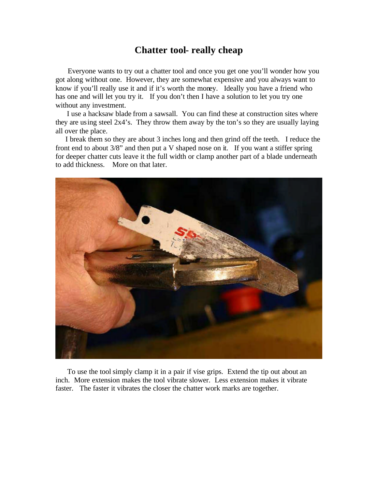## **Chatter tool- really cheap**

 Everyone wants to try out a chatter tool and once you get one you'll wonder how you got along without one. However, they are somewhat expensive and you always want to know if you'll really use it and if it's worth the money. Ideally you have a friend who has one and will let you try it. If you don't then I have a solution to let you try one without any investment.

 I use a hacksaw blade from a sawsall. You can find these at construction sites where they are using steel 2x4's. They throw them away by the ton's so they are usually laying all over the place.

 I break them so they are about 3 inches long and then grind off the teeth. I reduce the front end to about 3/8" and then put a V shaped nose on it. If you want a stiffer spring for deeper chatter cuts leave it the full width or clamp another part of a blade underneath to add thickness. More on that later.



 To use the tool simply clamp it in a pair if vise grips. Extend the tip out about an inch. More extension makes the tool vibrate slower. Less extension makes it vibrate faster. The faster it vibrates the closer the chatter work marks are together.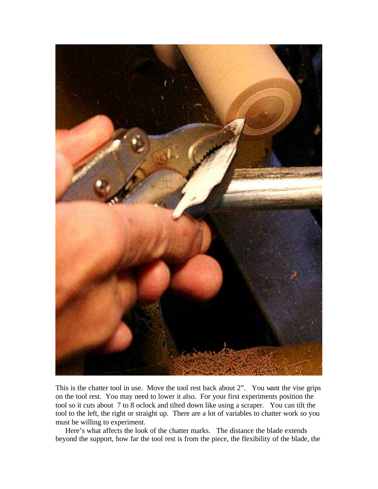

This is the chatter tool in use. Move the tool rest back about 2". You want the vise grips on the tool rest. You may need to lower it also. For your first experiments position the tool so it cuts about 7 to 8 oclock and tilted down like using a scraper. You can tilt the tool to the left, the right or straight up. There are a lot of variables to chatter work so you must be willing to experiment.

Here's what affects the look of the chatter marks. The distance the blade extends beyond the support, how far the tool rest is from the piece, the flexibility of the blade, the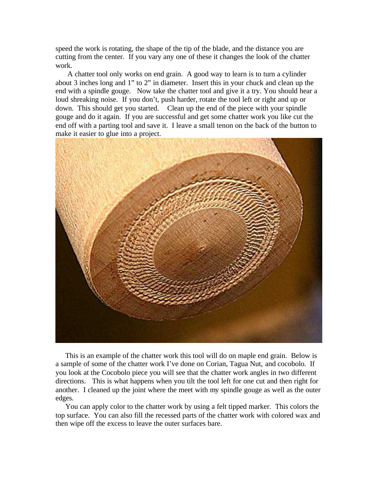speed the work is rotating, the shape of the tip of the blade, and the distance you are cutting from the center. If you vary any one of these it changes the look of the chatter work.

 A chatter tool only works on end grain. A good way to learn is to turn a cylinder about 3 inches long and 1" to 2" in diameter. Insert this in your chuck and clean up the end with a spindle gouge. Now take the chatter tool and give it a try. You should hear a loud shreaking noise. If you don't, push harder, rotate the tool left or right and up or down. This should get you started. Clean up the end of the piece with your spindle gouge and do it again. If you are successful and get some chatter work you like cut the end off with a parting tool and save it. I leave a small tenon on the back of the button to make it easier to glue into a project.



 This is an example of the chatter work this tool will do on maple end grain. Below is a sample of some of the chatter work I've done on Corian, Tagua Nut, and cocobolo. If you look at the Cocobolo piece you will see that the chatter work angles in two different directions. This is what happens when you tilt the tool left for one cut and then right for another. I cleaned up the joint where the meet with my spindle gouge as well as the outer edges.

 You can apply color to the chatter work by using a felt tipped marker. This colors the top surface. You can also fill the recessed parts of the chatter work with colored wax and then wipe off the excess to leave the outer surfaces bare.